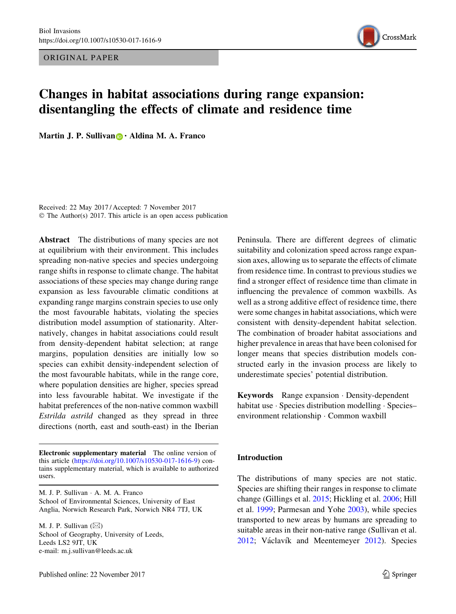ORIGINAL PAPER



# Changes in habitat associations during range expansion: disentangling the effects of climate and residence time

Martin J. P. Sullivan  $\mathbf{D} \cdot$  Aldina M. A. Franco

Received: 22 May 2017 / Accepted: 7 November 2017 © The Author(s) 2017. This article is an open access publication

Abstract The distributions of many species are not at equilibrium with their environment. This includes spreading non-native species and species undergoing range shifts in response to climate change. The habitat associations of these species may change during range expansion as less favourable climatic conditions at expanding range margins constrain species to use only the most favourable habitats, violating the species distribution model assumption of stationarity. Alternatively, changes in habitat associations could result from density-dependent habitat selection; at range margins, population densities are initially low so species can exhibit density-independent selection of the most favourable habitats, while in the range core, where population densities are higher, species spread into less favourable habitat. We investigate if the habitat preferences of the non-native common waxbill Estrilda astrild changed as they spread in three directions (north, east and south-east) in the Iberian

Electronic supplementary material The online version of this article [\(https://doi.org/10.1007/s10530-017-1616-9](https://doi.org/10.1007/s10530-017-1616-9)) contains supplementary material, which is available to authorized users.

M. J. P. Sullivan - A. M. A. Franco School of Environmental Sciences, University of East Anglia, Norwich Research Park, Norwich NR4 7TJ, UK

M. J. P. Sullivan  $(\boxtimes)$ School of Geography, University of Leeds, Leeds LS2 9JT, UK e-mail: m.j.sullivan@leeds.ac.uk

Peninsula. There are different degrees of climatic suitability and colonization speed across range expansion axes, allowing us to separate the effects of climate from residence time. In contrast to previous studies we find a stronger effect of residence time than climate in influencing the prevalence of common waxbills. As well as a strong additive effect of residence time, there were some changes in habitat associations, which were consistent with density-dependent habitat selection. The combination of broader habitat associations and higher prevalence in areas that have been colonised for longer means that species distribution models constructed early in the invasion process are likely to underestimate species' potential distribution.

Keywords Range expansion - Density-dependent habitat use - Species distribution modelling - Species– environment relationship · Common waxbill

# Introduction

The distributions of many species are not static. Species are shifting their ranges in response to climate change (Gillings et al. [2015](#page-11-0); Hickling et al. [2006;](#page-11-0) Hill et al. [1999;](#page-11-0) Parmesan and Yohe [2003](#page-11-0)), while species transported to new areas by humans are spreading to suitable areas in their non-native range (Sullivan et al. [2012;](#page-11-0) Václavík and Meentemeyer [2012\)](#page-12-0). Species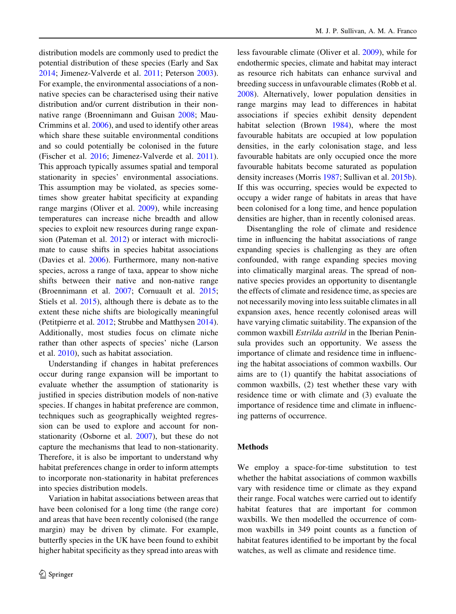distribution models are commonly used to predict the potential distribution of these species (Early and Sax [2014;](#page-10-0) Jimenez-Valverde et al. [2011;](#page-11-0) Peterson [2003](#page-11-0)). For example, the environmental associations of a nonnative species can be characterised using their native distribution and/or current distribution in their nonnative range (Broennimann and Guisan [2008;](#page-10-0) Mau-Crimmins et al. [2006](#page-11-0)), and used to identify other areas which share these suitable environmental conditions and so could potentially be colonised in the future (Fischer et al. [2016](#page-10-0); Jimenez-Valverde et al. [2011](#page-11-0)). This approach typically assumes spatial and temporal stationarity in species' environmental associations. This assumption may be violated, as species sometimes show greater habitat specificity at expanding range margins (Oliver et al. [2009\)](#page-11-0), while increasing temperatures can increase niche breadth and allow species to exploit new resources during range expansion (Pateman et al. [2012](#page-11-0)) or interact with microclimate to cause shifts in species habitat associations (Davies et al. [2006\)](#page-10-0). Furthermore, many non-native species, across a range of taxa, appear to show niche shifts between their native and non-native range (Broennimann et al. [2007;](#page-10-0) Cornuault et al. [2015](#page-10-0); Stiels et al. [2015](#page-11-0)), although there is debate as to the extent these niche shifts are biologically meaningful (Petitpierre et al. [2012](#page-11-0); Strubbe and Matthysen [2014](#page-11-0)). Additionally, most studies focus on climate niche rather than other aspects of species' niche (Larson et al. [2010](#page-11-0)), such as habitat association.

Understanding if changes in habitat preferences occur during range expansion will be important to evaluate whether the assumption of stationarity is justified in species distribution models of non-native species. If changes in habitat preference are common, techniques such as geographically weighted regression can be used to explore and account for nonstationarity (Osborne et al. [2007](#page-11-0)), but these do not capture the mechanisms that lead to non-stationarity. Therefore, it is also be important to understand why habitat preferences change in order to inform attempts to incorporate non-stationarity in habitat preferences into species distribution models.

Variation in habitat associations between areas that have been colonised for a long time (the range core) and areas that have been recently colonised (the range margin) may be driven by climate. For example, butterfly species in the UK have been found to exhibit higher habitat specificity as they spread into areas with

less favourable climate (Oliver et al. [2009](#page-11-0)), while for endothermic species, climate and habitat may interact as resource rich habitats can enhance survival and breeding success in unfavourable climates (Robb et al. [2008\)](#page-11-0). Alternatively, lower population densities in range margins may lead to differences in habitat associations if species exhibit density dependent habitat selection (Brown [1984](#page-10-0)), where the most favourable habitats are occupied at low population densities, in the early colonisation stage, and less favourable habitats are only occupied once the more favourable habitats become saturated as population density increases (Morris [1987;](#page-11-0) Sullivan et al. [2015b](#page-11-0)). If this was occurring, species would be expected to occupy a wider range of habitats in areas that have been colonised for a long time, and hence population densities are higher, than in recently colonised areas.

Disentangling the role of climate and residence time in influencing the habitat associations of range expanding species is challenging as they are often confounded, with range expanding species moving into climatically marginal areas. The spread of nonnative species provides an opportunity to disentangle the effects of climate and residence time, as species are not necessarily moving into less suitable climates in all expansion axes, hence recently colonised areas will have varying climatic suitability. The expansion of the common waxbill Estrilda astrild in the Iberian Peninsula provides such an opportunity. We assess the importance of climate and residence time in influencing the habitat associations of common waxbills. Our aims are to (1) quantify the habitat associations of common waxbills, (2) test whether these vary with residence time or with climate and (3) evaluate the importance of residence time and climate in influencing patterns of occurrence.

# Methods

We employ a space-for-time substitution to test whether the habitat associations of common waxbills vary with residence time or climate as they expand their range. Focal watches were carried out to identify habitat features that are important for common waxbills. We then modelled the occurrence of common waxbills in 349 point counts as a function of habitat features identified to be important by the focal watches, as well as climate and residence time.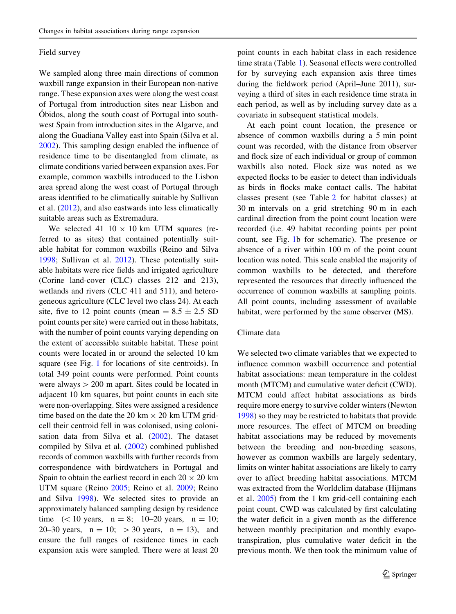#### Field survey

We sampled along three main directions of common waxbill range expansion in their European non-native range. These expansion axes were along the west coast of Portugal from introduction sites near Lisbon and Obidos, along the south coast of Portugal into southwest Spain from introduction sites in the Algarve, and along the Guadiana Valley east into Spain (Silva et al. [2002\)](#page-11-0). This sampling design enabled the influence of residence time to be disentangled from climate, as climate conditions varied between expansion axes. For example, common waxbills introduced to the Lisbon area spread along the west coast of Portugal through areas identified to be climatically suitable by Sullivan et al. [\(2012](#page-11-0)), and also eastwards into less climatically suitable areas such as Extremadura.

We selected 41 10  $\times$  10 km UTM squares (referred to as sites) that contained potentially suitable habitat for common waxbills (Reino and Silva [1998;](#page-11-0) Sullivan et al. [2012](#page-11-0)). These potentially suitable habitats were rice fields and irrigated agriculture (Corine land-cover (CLC) classes 212 and 213), wetlands and rivers (CLC 411 and 511), and heterogeneous agriculture (CLC level two class 24). At each site, five to 12 point counts (mean =  $8.5 \pm 2.5$  SD point counts per site) were carried out in these habitats, with the number of point counts varying depending on the extent of accessible suitable habitat. These point counts were located in or around the selected 10 km square (see Fig. [1](#page-3-0) for locations of site centroids). In total 349 point counts were performed. Point counts were always  $> 200$  m apart. Sites could be located in adjacent 10 km squares, but point counts in each site were non-overlapping. Sites were assigned a residence time based on the date the 20 km  $\times$  20 km UTM gridcell their centroid fell in was colonised, using colonisation data from Silva et al. ([2002\)](#page-11-0). The dataset compiled by Silva et al. [\(2002](#page-11-0)) combined published records of common waxbills with further records from correspondence with birdwatchers in Portugal and Spain to obtain the earliest record in each  $20 \times 20$  km UTM square (Reino [2005](#page-11-0); Reino et al. [2009;](#page-11-0) Reino and Silva [1998](#page-11-0)). We selected sites to provide an approximately balanced sampling design by residence time  $(< 10 \text{ years}, n = 8; 10-20 \text{ years}, n = 10;$ 20–30 years,  $n = 10$ ;  $> 30$  years,  $n = 13$ ), and ensure the full ranges of residence times in each expansion axis were sampled. There were at least 20

point counts in each habitat class in each residence time strata (Table [1](#page-4-0)). Seasonal effects were controlled for by surveying each expansion axis three times during the fieldwork period (April–June 2011), surveying a third of sites in each residence time strata in each period, as well as by including survey date as a covariate in subsequent statistical models.

At each point count location, the presence or absence of common waxbills during a 5 min point count was recorded, with the distance from observer and flock size of each individual or group of common waxbills also noted. Flock size was noted as we expected flocks to be easier to detect than individuals as birds in flocks make contact calls. The habitat classes present (see Table [2](#page-4-0) for habitat classes) at 30 m intervals on a grid stretching 90 m in each cardinal direction from the point count location were recorded (i.e. 49 habitat recording points per point count, see Fig. [1b](#page-3-0) for schematic). The presence or absence of a river within 100 m of the point count location was noted. This scale enabled the majority of common waxbills to be detected, and therefore represented the resources that directly influenced the occurrence of common waxbills at sampling points. All point counts, including assessment of available habitat, were performed by the same observer (MS).

#### Climate data

We selected two climate variables that we expected to influence common waxbill occurrence and potential habitat associations: mean temperature in the coldest month (MTCM) and cumulative water deficit (CWD). MTCM could affect habitat associations as birds require more energy to survive colder winters (Newton [1998\)](#page-11-0) so they may be restricted to habitats that provide more resources. The effect of MTCM on breeding habitat associations may be reduced by movements between the breeding and non-breeding seasons, however as common waxbills are largely sedentary, limits on winter habitat associations are likely to carry over to affect breeding habitat associations. MTCM was extracted from the Worldclim database (Hijmans et al. [2005\)](#page-11-0) from the 1 km grid-cell containing each point count. CWD was calculated by first calculating the water deficit in a given month as the difference between monthly precipitation and monthly evapotranspiration, plus cumulative water deficit in the previous month. We then took the minimum value of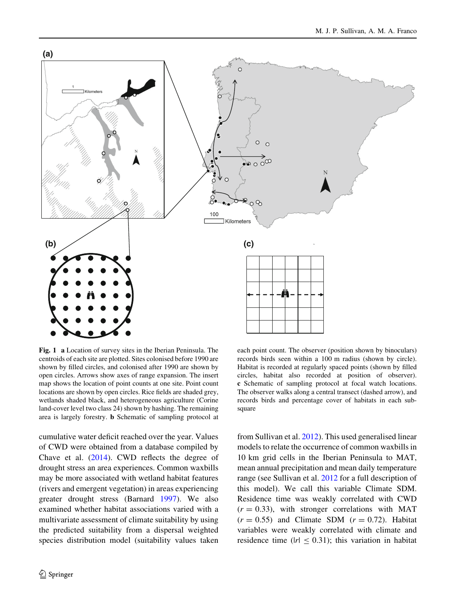<span id="page-3-0"></span>

Fig. 1 a Location of survey sites in the Iberian Peninsula. The centroids of each site are plotted. Sites colonised before 1990 are shown by filled circles, and colonised after 1990 are shown by open circles. Arrows show axes of range expansion. The insert map shows the location of point counts at one site. Point count locations are shown by open circles. Rice fields are shaded grey, wetlands shaded black, and heterogeneous agriculture (Corine land-cover level two class 24) shown by hashing. The remaining area is largely forestry. b Schematic of sampling protocol at

cumulative water deficit reached over the year. Values of CWD were obtained from a database compiled by Chave et al. [\(2014](#page-10-0)). CWD reflects the degree of drought stress an area experiences. Common waxbills may be more associated with wetland habitat features (rivers and emergent vegetation) in areas experiencing greater drought stress (Barnard [1997](#page-10-0)). We also examined whether habitat associations varied with a multivariate assessment of climate suitability by using the predicted suitability from a dispersal weighted species distribution model (suitability values taken

each point count. The observer (position shown by binoculars) records birds seen within a 100 m radius (shown by circle). Habitat is recorded at regularly spaced points (shown by filled circles, habitat also recorded at position of observer). c Schematic of sampling protocol at focal watch locations. The observer walks along a central transect (dashed arrow), and records birds and percentage cover of habitats in each subsquare

from Sullivan et al. [2012](#page-11-0)). This used generalised linear models to relate the occurrence of common waxbills in 10 km grid cells in the Iberian Peninsula to MAT, mean annual precipitation and mean daily temperature range (see Sullivan et al. [2012](#page-11-0) for a full description of this model). We call this variable Climate SDM. Residence time was weakly correlated with CWD  $(r = 0.33)$ , with stronger correlations with MAT  $(r = 0.55)$  and Climate SDM  $(r = 0.72)$ . Habitat variables were weakly correlated with climate and residence time ( $|r| \leq 0.31$ ); this variation in habitat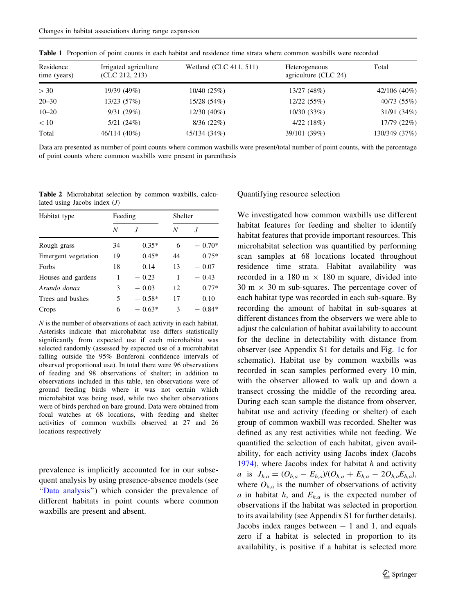| Irrigated agriculture<br>Residence<br>(CLC 212, 213)<br>time (years) |              | Wetland (CLC 411, 511) | Heterogeneous<br>agriculture (CLC 24) | Total          |  |
|----------------------------------------------------------------------|--------------|------------------------|---------------------------------------|----------------|--|
| > 30                                                                 | 19/39 (49%)  | 10/40(25%)             | 13/27(48%)                            | $42/106$ (40%) |  |
| $20 - 30$                                                            | 13/23(57%)   | 15/28 (54%)            | 12/22(55%)                            | 40/73(55%)     |  |
| $10 - 20$                                                            | 9/31(29%)    | $12/30(40\%)$          | 10/30(33%)                            | 31/91(34%)     |  |
| < 10                                                                 | 5/21(24%)    | 8/36(22%)              | 4/22(18%)                             | 17/79 (22%)    |  |
| Total                                                                | 46/114 (40%) | 45/134 (34%)           | 39/101 (39%)                          | 130/349 (37%)  |  |

<span id="page-4-0"></span>Table 1 Proportion of point counts in each habitat and residence time strata where common waxbills were recorded

Data are presented as number of point counts where common waxbills were present/total number of point counts, with the percentage of point counts where common waxbills were present in parenthesis

Table 2 Microhabitat selection by common waxbills, calculated using Jacobs index (J)

| Habitat type        | Feeding |          | Shelter |          |  |
|---------------------|---------|----------|---------|----------|--|
|                     | N       | $\cdot$  | N       | J        |  |
| Rough grass         | 34      | $0.35*$  | 6       | $-0.70*$ |  |
| Emergent vegetation | 19      | $0.45*$  | 44      | $0.75*$  |  |
| Forbs               | 18      | 0.14     | 13      | $-0.07$  |  |
| Houses and gardens  | 1       | $-0.23$  | 1       | $-0.43$  |  |
| Arundo donax        | 3       | $-0.03$  | 12      | $0.77*$  |  |
| Trees and bushes    | 5       | $-0.58*$ | 17      | 0.10     |  |
| Crops               | 6       | $-0.63*$ | 3       | $-0.84*$ |  |

N is the number of observations of each activity in each habitat. Asterisks indicate that microhabitat use differs statistically significantly from expected use if each microhabitat was selected randomly (assessed by expected use of a microhabitat falling outside the 95% Bonferoni confidence intervals of observed proportional use). In total there were 96 observations of feeding and 98 observations of shelter; in addition to observations included in this table, ten observations were of ground feeding birds where it was not certain which microhabitat was being used, while two shelter observations were of birds perched on bare ground. Data were obtained from focal watches at 68 locations, with feeding and shelter activities of common waxbills observed at 27 and 26 locations respectively

prevalence is implicitly accounted for in our subsequent analysis by using presence-absence models (see "Data analysis") which consider the prevalence of different habitats in point counts where common waxbills are present and absent.

#### Quantifying resource selection

We investigated how common waxbills use different habitat features for feeding and shelter to identify habitat features that provide important resources. This microhabitat selection was quantified by performing scan samples at 68 locations located throughout residence time strata. Habitat availability was recorded in a 180 m  $\times$  180 m square, divided into  $30 \text{ m} \times 30 \text{ m}$  sub-squares. The percentage cover of each habitat type was recorded in each sub-square. By recording the amount of habitat in sub-squares at different distances from the observers we were able to adjust the calculation of habitat availability to account for the decline in detectability with distance from observer (see Appendix S1 for details and Fig. [1](#page-3-0)c for schematic). Habitat use by common waxbills was recorded in scan samples performed every 10 min, with the observer allowed to walk up and down a transect crossing the middle of the recording area. During each scan sample the distance from observer, habitat use and activity (feeding or shelter) of each group of common waxbill was recorded. Shelter was defined as any rest activities while not feeding. We quantified the selection of each habitat, given availability, for each activity using Jacobs index (Jacobs [1974\)](#page-11-0), where Jacobs index for habitat  $h$  and activity a is  $J_{h,a} = (O_{h,a} - E_{h,a})/(O_{h,a} + E_{h,a} - 2O_{h,a}E_{h,a}),$ where  $O_{h,a}$  is the number of observations of activity a in habitat h, and  $E_{h,a}$  is the expected number of observations if the habitat was selected in proportion to its availability (see Appendix S1 for further details). Jacobs index ranges between  $-1$  and 1, and equals zero if a habitat is selected in proportion to its availability, is positive if a habitat is selected more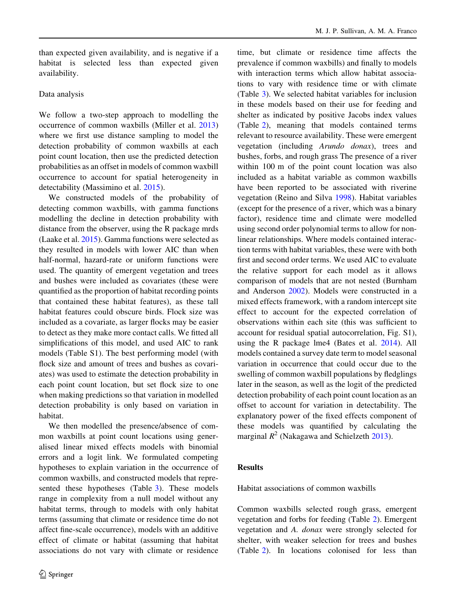<span id="page-5-0"></span>than expected given availability, and is negative if a habitat is selected less than expected given availability.

## Data analysis

We follow a two-step approach to modelling the occurrence of common waxbills (Miller et al. [2013\)](#page-11-0) where we first use distance sampling to model the detection probability of common waxbills at each point count location, then use the predicted detection probabilities as an offset in models of common waxbill occurrence to account for spatial heterogeneity in detectability (Massimino et al. [2015](#page-11-0)).

We constructed models of the probability of detecting common waxbills, with gamma functions modelling the decline in detection probability with distance from the observer, using the R package mrds (Laake et al. [2015\)](#page-11-0). Gamma functions were selected as they resulted in models with lower AIC than when half-normal, hazard-rate or uniform functions were used. The quantity of emergent vegetation and trees and bushes were included as covariates (these were quantified as the proportion of habitat recording points that contained these habitat features), as these tall habitat features could obscure birds. Flock size was included as a covariate, as larger flocks may be easier to detect as they make more contact calls. We fitted all simplifications of this model, and used AIC to rank models (Table S1). The best performing model (with flock size and amount of trees and bushes as covariates) was used to estimate the detection probability in each point count location, but set flock size to one when making predictions so that variation in modelled detection probability is only based on variation in habitat.

We then modelled the presence/absence of common waxbills at point count locations using generalised linear mixed effects models with binomial errors and a logit link. We formulated competing hypotheses to explain variation in the occurrence of common waxbills, and constructed models that represented these hypotheses (Table [3\)](#page-6-0). These models range in complexity from a null model without any habitat terms, through to models with only habitat terms (assuming that climate or residence time do not affect fine-scale occurrence), models with an additive effect of climate or habitat (assuming that habitat associations do not vary with climate or residence

time, but climate or residence time affects the prevalence if common waxbills) and finally to models with interaction terms which allow habitat associations to vary with residence time or with climate (Table [3](#page-6-0)). We selected habitat variables for inclusion in these models based on their use for feeding and shelter as indicated by positive Jacobs index values (Table [2](#page-4-0)), meaning that models contained terms relevant to resource availability. These were emergent vegetation (including Arundo donax), trees and bushes, forbs, and rough grass The presence of a river within 100 m of the point count location was also included as a habitat variable as common waxbills have been reported to be associated with riverine vegetation (Reino and Silva [1998](#page-11-0)). Habitat variables (except for the presence of a river, which was a binary factor), residence time and climate were modelled using second order polynomial terms to allow for nonlinear relationships. Where models contained interaction terms with habitat variables, these were with both first and second order terms. We used AIC to evaluate the relative support for each model as it allows comparison of models that are not nested (Burnham and Anderson [2002](#page-10-0)). Models were constructed in a mixed effects framework, with a random intercept site effect to account for the expected correlation of observations within each site (this was sufficient to account for residual spatial autocorrelation, Fig. S1), using the R package lme4 (Bates et al. [2014](#page-10-0)). All models contained a survey date term to model seasonal variation in occurrence that could occur due to the swelling of common waxbill populations by fledglings later in the season, as well as the logit of the predicted detection probability of each point count location as an offset to account for variation in detectability. The explanatory power of the fixed effects component of these models was quantified by calculating the marginal  $R^2$  (Nakagawa and Schielzeth [2013](#page-11-0)).

# Results

Habitat associations of common waxbills

Common waxbills selected rough grass, emergent vegetation and forbs for feeding (Table [2\)](#page-4-0). Emergent vegetation and A. donax were strongly selected for shelter, with weaker selection for trees and bushes (Table [2](#page-4-0)). In locations colonised for less than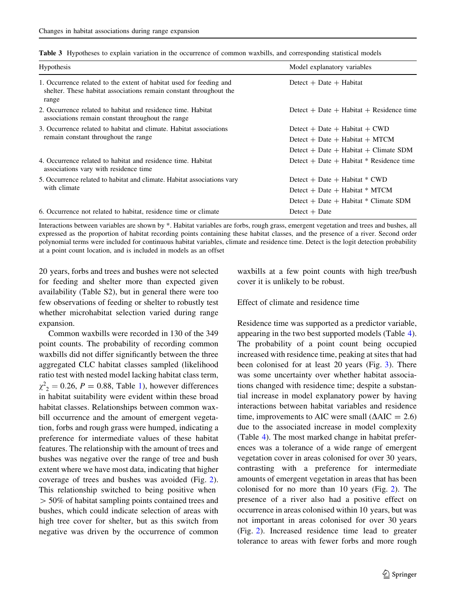<span id="page-6-0"></span>

|  |  |  |  |  |  |  |  |  |  | <b>Table 3</b> Hypotheses to explain variation in the occurrence of common waxbills, and corresponding statistical models |  |  |
|--|--|--|--|--|--|--|--|--|--|---------------------------------------------------------------------------------------------------------------------------|--|--|
|--|--|--|--|--|--|--|--|--|--|---------------------------------------------------------------------------------------------------------------------------|--|--|

| Hypothesis                                                                                                                                         | Model explanatory variables                              |
|----------------------------------------------------------------------------------------------------------------------------------------------------|----------------------------------------------------------|
| 1. Occurrence related to the extent of habitat used for feeding and<br>shelter. These habitat associations remain constant throughout the<br>range | $Detect + Date + Habitat$                                |
| 2. Occurrence related to habitat and residence time. Habitat<br>associations remain constant throughout the range                                  | Detect $+$ Date $+$ Habitat $+$ Residence time           |
| 3. Occurrence related to habitat and climate. Habitat associations                                                                                 | Detect + Date + Habitat + CWD                            |
| remain constant throughout the range                                                                                                               | $Detect + Date + Habitat + MTCM$                         |
|                                                                                                                                                    | $D \cdot \text{D}$ Detect + Date + Habitat + Climate SDM |
| 4. Occurrence related to habitat and residence time. Habitat<br>associations vary with residence time                                              | Detect $+$ Date $+$ Habitat $*$ Residence time           |
| 5. Occurrence related to habitat and climate. Habitat associations vary                                                                            | Detect $+$ Date $+$ Habitat $*$ CWD                      |
| with climate                                                                                                                                       | Detect $+$ Date $+$ Habitat $*$ MTCM                     |
|                                                                                                                                                    | Detect $+$ Date $+$ Habitat $*$ Climate SDM              |
| 6. Occurrence not related to habitat, residence time or climate                                                                                    | $D \text{etect} + D \text{ate}$                          |

Interactions between variables are shown by \*. Habitat variables are forbs, rough grass, emergent vegetation and trees and bushes, all expressed as the proportion of habitat recording points containing these habitat classes, and the presence of a river. Second order polynomial terms were included for continuous habitat variables, climate and residence time. Detect is the logit detection probability at a point count location, and is included in models as an offset

20 years, forbs and trees and bushes were not selected for feeding and shelter more than expected given availability (Table S2), but in general there were too few observations of feeding or shelter to robustly test whether microhabitat selection varied during range expansion.

Common waxbills were recorded in 130 of the 349 point counts. The probability of recording common waxbills did not differ significantly between the three aggregated CLC habitat classes sampled (likelihood ratio test with nested model lacking habitat class term,  $\chi^2$ <sub>2</sub> = 0.26, *P* = 0.88, Table [1\)](#page-4-0), however differences in habitat suitability were evident within these broad habitat classes. Relationships between common waxbill occurrence and the amount of emergent vegetation, forbs and rough grass were humped, indicating a preference for intermediate values of these habitat features. The relationship with the amount of trees and bushes was negative over the range of tree and bush extent where we have most data, indicating that higher coverage of trees and bushes was avoided (Fig. [2](#page-7-0)). This relationship switched to being positive when  $>$  50% of habitat sampling points contained trees and bushes, which could indicate selection of areas with high tree cover for shelter, but as this switch from negative was driven by the occurrence of common

waxbills at a few point counts with high tree/bush cover it is unlikely to be robust.

Effect of climate and residence time

Residence time was supported as a predictor variable, appearing in the two best supported models (Table [4](#page-8-0)). The probability of a point count being occupied increased with residence time, peaking at sites that had been colonised for at least 20 years (Fig. [3\)](#page-8-0). There was some uncertainty over whether habitat associations changed with residence time; despite a substantial increase in model explanatory power by having interactions between habitat variables and residence time, improvements to AIC were small ( $\Delta AIC = 2.6$ ) due to the associated increase in model complexity (Table [4](#page-8-0)). The most marked change in habitat preferences was a tolerance of a wide range of emergent vegetation cover in areas colonised for over 30 years, contrasting with a preference for intermediate amounts of emergent vegetation in areas that has been colonised for no more than 10 years (Fig. [2](#page-7-0)). The presence of a river also had a positive effect on occurrence in areas colonised within 10 years, but was not important in areas colonised for over 30 years (Fig. [2](#page-7-0)). Increased residence time lead to greater tolerance to areas with fewer forbs and more rough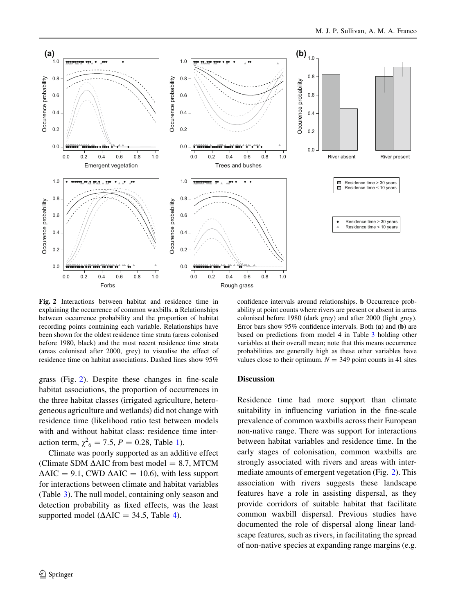<span id="page-7-0"></span>

Fig. 2 Interactions between habitat and residence time in explaining the occurrence of common waxbills. a Relationships between occurrence probability and the proportion of habitat recording points containing each variable. Relationships have been shown for the oldest residence time strata (areas colonised before 1980, black) and the most recent residence time strata (areas colonised after 2000, grey) to visualise the effect of residence time on habitat associations. Dashed lines show 95%

grass (Fig. 2). Despite these changes in fine-scale habitat associations, the proportion of occurrences in the three habitat classes (irrigated agriculture, heterogeneous agriculture and wetlands) did not change with residence time (likelihood ratio test between models with and without habitat class: residence time interaction term,  $\chi^2_{6} = 7.5, P = 0.28,$  Table [1\)](#page-4-0).

Climate was poorly supported as an additive effect (Climate SDM  $\triangle$ AIC from best model = 8.7, MTCM  $\Delta AIC = 9.1$ , CWD  $\Delta AIC = 10.6$ ), with less support for interactions between climate and habitat variables (Table [3](#page-6-0)). The null model, containing only season and detection probability as fixed effects, was the least supported model ( $\triangle AIC = 34.5$  $\triangle AIC = 34.5$  $\triangle AIC = 34.5$ , Table 4).

confidence intervals around relationships. b Occurrence probability at point counts where rivers are present or absent in areas colonised before 1980 (dark grey) and after 2000 (light grey). Error bars show 95% confidence intervals. Both (a) and (b) are based on predictions from model 4 in Table [3](#page-6-0) holding other variables at their overall mean; note that this means occurrence probabilities are generally high as these other variables have values close to their optimum.  $N = 349$  point counts in 41 sites

#### Discussion

Residence time had more support than climate suitability in influencing variation in the fine-scale prevalence of common waxbills across their European non-native range. There was support for interactions between habitat variables and residence time. In the early stages of colonisation, common waxbills are strongly associated with rivers and areas with intermediate amounts of emergent vegetation (Fig. 2). This association with rivers suggests these landscape features have a role in assisting dispersal, as they provide corridors of suitable habitat that facilitate common waxbill dispersal. Previous studies have documented the role of dispersal along linear landscape features, such as rivers, in facilitating the spread of non-native species at expanding range margins (e.g.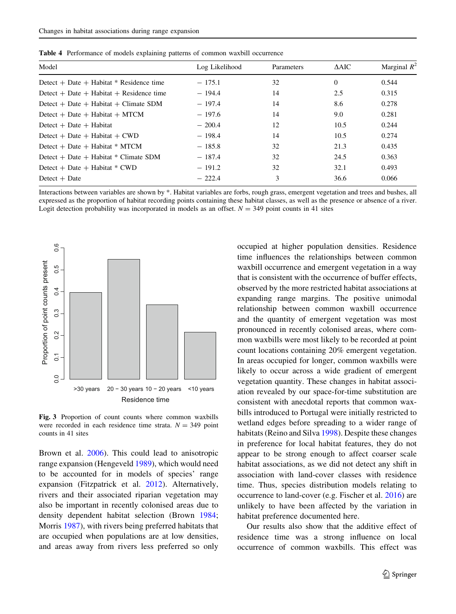<span id="page-8-0"></span>

| Table 4 Performance of models explaining patterns of common waxbill occurrence |  |
|--------------------------------------------------------------------------------|--|
|--------------------------------------------------------------------------------|--|

| Model                                          | Log Likelihood | Parameters | $\triangle AIC$ | Marginal $R^2$ |  |
|------------------------------------------------|----------------|------------|-----------------|----------------|--|
| Detect $+$ Date $+$ Habitat $*$ Residence time | $-175.1$       | 32         | $\Omega$        | 0.544          |  |
| Detect $+$ Date $+$ Habitat $+$ Residence time | $-194.4$       | 14         | 2.5             | 0.315          |  |
| Detect + Date + Habitat + Climate SDM          | $-197.4$       | 14         | 8.6             | 0.278          |  |
| Detect $+$ Date $+$ Habitat $+$ MTCM           | $-197.6$       | 14         | 9.0             | 0.281          |  |
| Detect $+$ Date $+$ Habitat                    | $-200.4$       | 12         | 10.5            | 0.244          |  |
| Detect + Date + Habitat + CWD                  | $-198.4$       | 14         | 10.5            | 0.274          |  |
| Detect $+$ Date $+$ Habitat $*$ MTCM           | $-185.8$       | 32         | 21.3            | 0.435          |  |
| Detect + Date + Habitat $*$ Climate SDM        | $-187.4$       | 32         | 24.5            | 0.363          |  |
| Detect + Date + Habitat $*$ CWD                | $-191.2$       | 32         | 32.1            | 0.493          |  |
| $D \text{etect} + D \text{ate}$                | $-222.4$       | 3          | 36.6            | 0.066          |  |

Interactions between variables are shown by \*. Habitat variables are forbs, rough grass, emergent vegetation and trees and bushes, all expressed as the proportion of habitat recording points containing these habitat classes, as well as the presence or absence of a river. Logit detection probability was incorporated in models as an offset.  $N = 349$  point counts in 41 sites



Fig. 3 Proportion of count counts where common waxbills were recorded in each residence time strata.  $N = 349$  point counts in 41 sites

Brown et al. [2006\)](#page-10-0). This could lead to anisotropic range expansion (Hengeveld [1989](#page-11-0)), which would need to be accounted for in models of species' range expansion (Fitzpatrick et al. [2012\)](#page-10-0). Alternatively, rivers and their associated riparian vegetation may also be important in recently colonised areas due to density dependent habitat selection (Brown [1984](#page-10-0); Morris [1987](#page-11-0)), with rivers being preferred habitats that are occupied when populations are at low densities, and areas away from rivers less preferred so only occupied at higher population densities. Residence time influences the relationships between common waxbill occurrence and emergent vegetation in a way that is consistent with the occurrence of buffer effects, observed by the more restricted habitat associations at expanding range margins. The positive unimodal relationship between common waxbill occurrence and the quantity of emergent vegetation was most pronounced in recently colonised areas, where common waxbills were most likely to be recorded at point count locations containing 20% emergent vegetation. In areas occupied for longer, common waxbills were likely to occur across a wide gradient of emergent vegetation quantity. These changes in habitat association revealed by our space-for-time substitution are consistent with anecdotal reports that common waxbills introduced to Portugal were initially restricted to wetland edges before spreading to a wider range of habitats (Reino and Silva [1998\)](#page-11-0). Despite these changes in preference for local habitat features, they do not appear to be strong enough to affect coarser scale habitat associations, as we did not detect any shift in association with land-cover classes with residence time. Thus, species distribution models relating to occurrence to land-cover (e.g. Fischer et al. [2016](#page-10-0)) are unlikely to have been affected by the variation in habitat preference documented here.

Our results also show that the additive effect of residence time was a strong influence on local occurrence of common waxbills. This effect was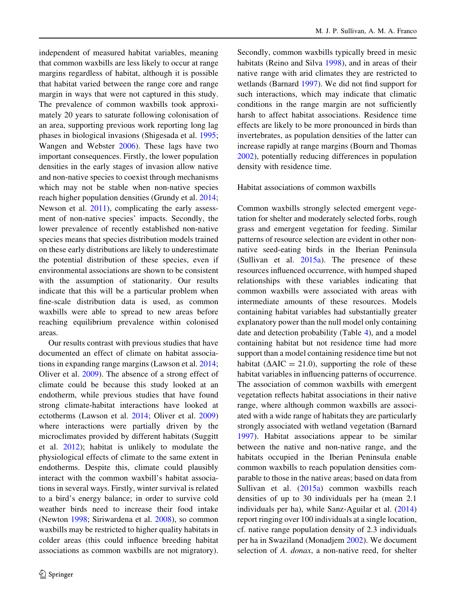independent of measured habitat variables, meaning that common waxbills are less likely to occur at range margins regardless of habitat, although it is possible that habitat varied between the range core and range margin in ways that were not captured in this study. The prevalence of common waxbills took approximately 20 years to saturate following colonisation of an area, supporting previous work reporting long lag phases in biological invasions (Shigesada et al. [1995](#page-11-0); Wangen and Webster [2006\)](#page-12-0). These lags have two important consequences. Firstly, the lower population densities in the early stages of invasion allow native and non-native species to coexist through mechanisms which may not be stable when non-native species reach higher population densities (Grundy et al. [2014](#page-11-0); Newson et al. [2011](#page-11-0)), complicating the early assessment of non-native species' impacts. Secondly, the lower prevalence of recently established non-native species means that species distribution models trained on these early distributions are likely to underestimate the potential distribution of these species, even if environmental associations are shown to be consistent with the assumption of stationarity. Our results indicate that this will be a particular problem when fine-scale distribution data is used, as common waxbills were able to spread to new areas before reaching equilibrium prevalence within colonised areas.

Our results contrast with previous studies that have documented an effect of climate on habitat associations in expanding range margins (Lawson et al. [2014](#page-11-0); Oliver et al. [2009\)](#page-11-0). The absence of a strong effect of climate could be because this study looked at an endotherm, while previous studies that have found strong climate-habitat interactions have looked at ectotherms (Lawson et al. [2014](#page-11-0); Oliver et al. [2009\)](#page-11-0) where interactions were partially driven by the microclimates provided by different habitats (Suggitt et al. [2012\)](#page-11-0); habitat is unlikely to modulate the physiological effects of climate to the same extent in endotherms. Despite this, climate could plausibly interact with the common waxbill's habitat associations in several ways. Firstly, winter survival is related to a bird's energy balance; in order to survive cold weather birds need to increase their food intake (Newton [1998;](#page-11-0) Siriwardena et al. [2008](#page-11-0)), so common waxbills may be restricted to higher quality habitats in colder areas (this could influence breeding habitat associations as common waxbills are not migratory).

Secondly, common waxbills typically breed in mesic habitats (Reino and Silva [1998](#page-11-0)), and in areas of their native range with arid climates they are restricted to wetlands (Barnard [1997](#page-10-0)). We did not find support for such interactions, which may indicate that climatic conditions in the range margin are not sufficiently harsh to affect habitat associations. Residence time effects are likely to be more pronounced in birds than invertebrates, as population densities of the latter can increase rapidly at range margins (Bourn and Thomas [2002\)](#page-10-0), potentially reducing differences in population density with residence time.

Habitat associations of common waxbills

Common waxbills strongly selected emergent vegetation for shelter and moderately selected forbs, rough grass and emergent vegetation for feeding. Similar patterns of resource selection are evident in other nonnative seed-eating birds in the Iberian Peninsula (Sullivan et al.  $2015a$ ). The presence of these resources influenced occurrence, with humped shaped relationships with these variables indicating that common waxbills were associated with areas with intermediate amounts of these resources. Models containing habitat variables had substantially greater explanatory power than the null model only containing date and detection probability (Table [4](#page-8-0)), and a model containing habitat but not residence time had more support than a model containing residence time but not habitat ( $\Delta AIC = 21.0$ ), supporting the role of these habitat variables in influencing patterns of occurrence. The association of common waxbills with emergent vegetation reflects habitat associations in their native range, where although common waxbills are associated with a wide range of habitats they are particularly strongly associated with wetland vegetation (Barnard [1997\)](#page-10-0). Habitat associations appear to be similar between the native and non-native range, and the habitats occupied in the Iberian Peninsula enable common waxbills to reach population densities comparable to those in the native areas; based on data from Sullivan et al. [\(2015a\)](#page-11-0) common waxbills reach densities of up to 30 individuals per ha (mean 2.1 individuals per ha), while Sanz-Aguilar et al. ([2014\)](#page-11-0) report ringing over 100 individuals at a single location, cf. native range population density of 2.3 individuals per ha in Swaziland (Monadjem [2002\)](#page-11-0). We document selection of A. donax, a non-native reed, for shelter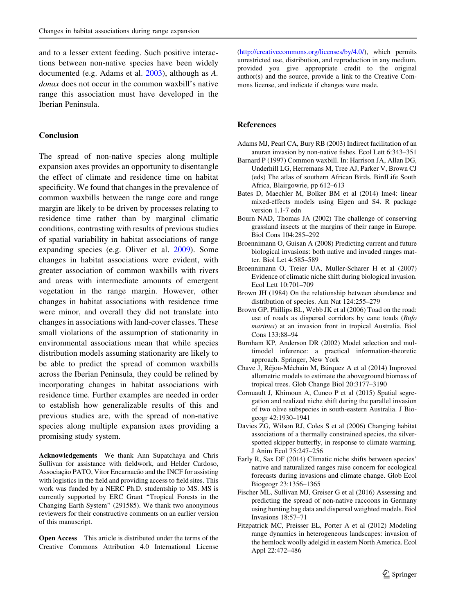<span id="page-10-0"></span>and to a lesser extent feeding. Such positive interactions between non-native species have been widely documented (e.g. Adams et al. 2003), although as A. donax does not occur in the common waxbill's native range this association must have developed in the Iberian Peninsula.

# Conclusion

The spread of non-native species along multiple expansion axes provides an opportunity to disentangle the effect of climate and residence time on habitat specificity. We found that changes in the prevalence of common waxbills between the range core and range margin are likely to be driven by processes relating to residence time rather than by marginal climatic conditions, contrasting with results of previous studies of spatial variability in habitat associations of range expanding species (e.g. Oliver et al. [2009](#page-11-0)). Some changes in habitat associations were evident, with greater association of common waxbills with rivers and areas with intermediate amounts of emergent vegetation in the range margin. However, other changes in habitat associations with residence time were minor, and overall they did not translate into changes in associations with land-cover classes. These small violations of the assumption of stationarity in environmental associations mean that while species distribution models assuming stationarity are likely to be able to predict the spread of common waxbills across the Iberian Peninsula, they could be refined by incorporating changes in habitat associations with residence time. Further examples are needed in order to establish how generalizable results of this and previous studies are, with the spread of non-native species along multiple expansion axes providing a promising study system.

Acknowledgements We thank Ann Supatchaya and Chris Sullivan for assistance with fieldwork, and Helder Cardoso, Associação PATO, Vitor Encarnacão and the INCF for assisting with logistics in the field and providing access to field sites. This work was funded by a NERC Ph.D. studentship to MS. MS is currently supported by ERC Grant ''Tropical Forests in the Changing Earth System'' (291585). We thank two anonymous reviewers for their constructive comments on an earlier version of this manuscript.

Open Access This article is distributed under the terms of the Creative Commons Attribution 4.0 International License ([http://creativecommons.org/licenses/by/4.0/\)](http://creativecommons.org/licenses/by/4.0/), which permits unrestricted use, distribution, and reproduction in any medium, provided you give appropriate credit to the original author(s) and the source, provide a link to the Creative Commons license, and indicate if changes were made.

#### References

- Adams MJ, Pearl CA, Bury RB (2003) Indirect facilitation of an anuran invasion by non-native fishes. Ecol Lett 6:343–351
- Barnard P (1997) Common waxbill. In: Harrison JA, Allan DG, Underhill LG, Herremans M, Tree AJ, Parker V, Brown CJ (eds) The atlas of southern African Birds. BirdLife South Africa, Blairgowrie, pp 612–613
- Bates D, Maechler M, Bolker BM et al (2014) lme4: linear mixed-effects models using Eigen and S4. R package version 1.1-7 edn
- Bourn NAD, Thomas JA (2002) The challenge of conserving grassland insects at the margins of their range in Europe. Biol Cons 104:285–292
- Broennimann O, Guisan A (2008) Predicting current and future biological invasions: both native and invaded ranges matter. Biol Let 4:585–589
- Broennimann O, Treier UA, Muller-Scharer H et al (2007) Evidence of climatic niche shift during biological invasion. Ecol Lett 10:701–709
- Brown JH (1984) On the relationship between abundance and distribution of species. Am Nat 124:255–279
- Brown GP, Phillips BL, Webb JK et al (2006) Toad on the road: use of roads as dispersal corridors by cane toads (Bufo marinus) at an invasion front in tropical Australia. Biol Cons 133:88–94
- Burnham KP, Anderson DR (2002) Model selection and multimodel inference: a practical information-theoretic approach. Springer, New York
- Chave J, Réjou-Méchain M, Búrquez A et al (2014) Improved allometric models to estimate the aboveground biomass of tropical trees. Glob Change Biol 20:3177–3190
- Cornuault J, Khimoun A, Cuneo P et al (2015) Spatial segregation and realized niche shift during the parallel invasion of two olive subspecies in south-eastern Australia. J Biogeogr 42:1930–1941
- Davies ZG, Wilson RJ, Coles S et al (2006) Changing habitat associations of a thermally constrained species, the silverspotted skipper butterfly, in response to climate warming. J Anim Ecol 75:247–256
- Early R, Sax DF (2014) Climatic niche shifts between species' native and naturalized ranges raise concern for ecological forecasts during invasions and climate change. Glob Ecol Biogeogr 23:1356–1365
- Fischer ML, Sullivan MJ, Greiser G et al (2016) Assessing and predicting the spread of non-native raccoons in Germany using hunting bag data and dispersal weighted models. Biol Invasions 18:57–71
- Fitzpatrick MC, Preisser EL, Porter A et al (2012) Modeling range dynamics in heterogeneous landscapes: invasion of the hemlock woolly adelgid in eastern North America. Ecol Appl 22:472–486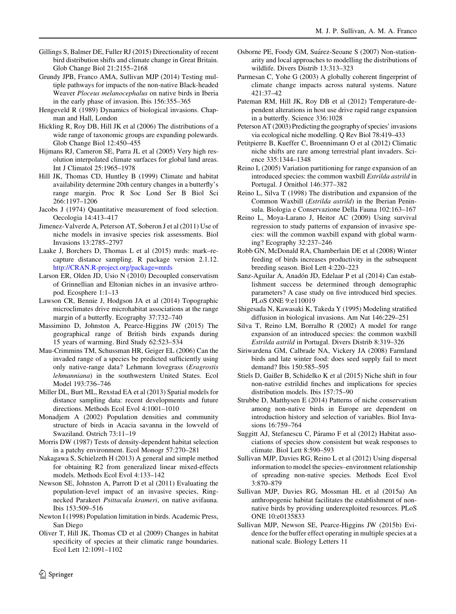- <span id="page-11-0"></span>Gillings S, Balmer DE, Fuller RJ (2015) Directionality of recent bird distribution shifts and climate change in Great Britain. Glob Change Biol 21:2155–2168
- Grundy JPB, Franco AMA, Sullivan MJP (2014) Testing multiple pathways for impacts of the non-native Black-headed Weaver Ploceus melanocephalus on native birds in Iberia in the early phase of invasion. Ibis 156:355–365
- Hengeveld R (1989) Dynamics of biological invasions. Chapman and Hall, London
- Hickling R, Roy DB, Hill JK et al (2006) The distributions of a wide range of taxonomic groups are expanding polewards. Glob Change Biol 12:450–455
- Hijmans RJ, Cameron SE, Parra JL et al (2005) Very high resolution interpolated climate surfaces for global land areas. Int J Climatol 25:1965–1978
- Hill JK, Thomas CD, Huntley B (1999) Climate and habitat availability determine 20th century changes in a butterfly's range margin. Proc R Soc Lond Ser B Biol Sci 266:1197–1206
- Jacobs J (1974) Quantitative measurement of food selection. Oecologia 14:413–417
- Jimenez-Valverde A, Peterson AT, Soberon J et al (2011) Use of niche models in invasive species risk assessments. Biol Invasions 13:2785–2797
- Laake J, Borchers D, Thomas L et al (2015) mrds: mark–recapture distance sampling. R package version 2.1.12. [http://CRAN.R-project.org/package=mrds](http://CRAN.R-project.org/package%3dmrds)
- Larson ER, Olden JD, Usio N (2010) Decoupled conservatism of Grinnellian and Eltonian niches in an invasive arthropod. Ecosphere 1:1–13
- Lawson CR, Bennie J, Hodgson JA et al (2014) Topographic microclimates drive microhabitat associations at the range margin of a butterfly. Ecography 37:732–740
- Massimino D, Johnston A, Pearce-Higgins JW (2015) The geographical range of British birds expands during 15 years of warming. Bird Study 62:523–534
- Mau-Crimmins TM, Schussman HR, Geiger EL (2006) Can the invaded range of a species be predicted sufficiently using only native-range data? Lehmann lovegrass (Eragrostis lehmanniana) in the southwestern United States. Ecol Model 193:736–746
- Miller DL, Burt ML, Rexstad EA et al (2013) Spatial models for distance sampling data: recent developments and future directions. Methods Ecol Evol 4:1001–1010
- Monadjem A (2002) Population densities and community structure of birds in Acacia savanna in the lowveld of Swaziland. Ostrich 73:11–19
- Morris DW (1987) Tests of density-dependent habitat selection in a patchy environment. Ecol Monogr 57:270–281
- Nakagawa S, Schielzeth H (2013) A general and simple method for obtaining R2 from generalized linear mixed-effects models. Methods Ecol Evol 4:133–142
- Newson SE, Johnston A, Parrott D et al (2011) Evaluating the population-level impact of an invasive species, Ringnecked Parakeet Psittacula krameri, on native avifauna. Ibis 153:509–516
- Newton I (1998) Population limitation in birds. Academic Press, San Diego
- Oliver T, Hill JK, Thomas CD et al (2009) Changes in habitat specificity of species at their climatic range boundaries. Ecol Lett 12:1091–1102
- Osborne PE, Foody GM, Suárez-Seoane S (2007) Non-stationarity and local approaches to modelling the distributions of wildlife. Divers Distrib 13:313–323
- Parmesan C, Yohe G (2003) A globally coherent fingerprint of climate change impacts across natural systems. Nature 421:37–42
- Pateman RM, Hill JK, Roy DB et al (2012) Temperature-dependent alterations in host use drive rapid range expansion in a butterfly. Science 336:1028
- Peterson AT (2003) Predicting the geography of species' invasions via ecological niche modelling. Q Rev Biol 78:419–433
- Petitpierre B, Kueffer C, Broennimann O et al (2012) Climatic niche shifts are rare among terrestrial plant invaders. Science 335:1344–1348
- Reino L (2005) Variation partitioning for range expansion of an introduced species: the common waxbill Estrilda astrild in Portugal. J Ornithol 146:377–382
- Reino L, Silva T (1998) The distribution and expansion of the Common Waxbill (Estrilda astrild) in the Iberian Peninsula. Biologia e Conservazione Della Fauna 102:163–167
- Reino L, Moya-Larano J, Heitor AC (2009) Using survival regression to study patterns of expansion of invasive species: will the common waxbill expand with global warming? Ecography 32:237–246
- Robb GN, McDonald RA, Chamberlain DE et al (2008) Winter feeding of birds increases productivity in the subsequent breeding season. Biol Lett 4:220–223
- Sanz-Aguilar A, Anadón JD, Edelaar P et al (2014) Can establishment success be determined through demographic parameters? A case study on five introduced bird species. PLoS ONE 9:e110019
- Shigesada N, Kawasaki K, Takeda Y (1995) Modeling stratified diffusion in biological invasions. Am Nat 146:229–251
- Silva T, Reino LM, Borralho R (2002) A model for range expansion of an introduced species: the common waxbill Estrilda astrild in Portugal. Divers Distrib 8:319–326
- Siriwardena GM, Calbrade NA, Vickery JA (2008) Farmland birds and late winter food: does seed supply fail to meet demand? Ibis 150:585–595
- Stiels D, Gaißer B, Schidelko K et al (2015) Niche shift in four non-native estrildid finches and implications for species distribution models. Ibis 157:75–90
- Strubbe D, Matthysen E (2014) Patterns of niche conservatism among non-native birds in Europe are dependent on introduction history and selection of variables. Biol Invasions 16:759–764
- Suggitt AJ, Stefanescu C, Páramo F et al (2012) Habitat associations of species show consistent but weak responses to climate. Biol Lett 8:590–593
- Sullivan MJP, Davies RG, Reino L et al (2012) Using dispersal information to model the species–environment relationship of spreading non-native species. Methods Ecol Evol 3:870–879
- Sullivan MJP, Davies RG, Mossman HL et al (2015a) An anthropogenic habitat facilitates the establishment of nonnative birds by providing underexploited resources. PLoS ONE 10:e0135833
- Sullivan MJP, Newson SE, Pearce-Higgins JW (2015b) Evidence for the buffer effect operating in multiple species at a national scale. Biology Letters 11